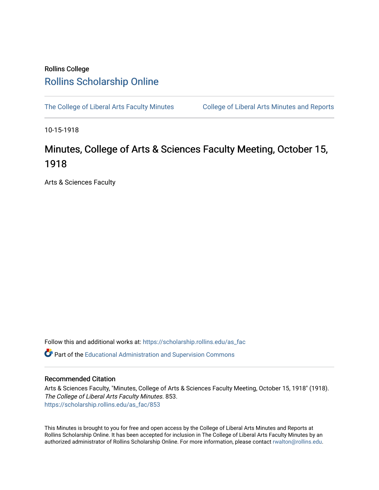## Rollins College [Rollins Scholarship Online](https://scholarship.rollins.edu/)

[The College of Liberal Arts Faculty Minutes](https://scholarship.rollins.edu/as_fac) College of Liberal Arts Minutes and Reports

10-15-1918

## Minutes, College of Arts & Sciences Faculty Meeting, October 15, 1918

Arts & Sciences Faculty

Follow this and additional works at: [https://scholarship.rollins.edu/as\\_fac](https://scholarship.rollins.edu/as_fac?utm_source=scholarship.rollins.edu%2Fas_fac%2F853&utm_medium=PDF&utm_campaign=PDFCoverPages) 

**P** Part of the [Educational Administration and Supervision Commons](http://network.bepress.com/hgg/discipline/787?utm_source=scholarship.rollins.edu%2Fas_fac%2F853&utm_medium=PDF&utm_campaign=PDFCoverPages)

## Recommended Citation

Arts & Sciences Faculty, "Minutes, College of Arts & Sciences Faculty Meeting, October 15, 1918" (1918). The College of Liberal Arts Faculty Minutes. 853. [https://scholarship.rollins.edu/as\\_fac/853](https://scholarship.rollins.edu/as_fac/853?utm_source=scholarship.rollins.edu%2Fas_fac%2F853&utm_medium=PDF&utm_campaign=PDFCoverPages) 

This Minutes is brought to you for free and open access by the College of Liberal Arts Minutes and Reports at Rollins Scholarship Online. It has been accepted for inclusion in The College of Liberal Arts Faculty Minutes by an authorized administrator of Rollins Scholarship Online. For more information, please contact [rwalton@rollins.edu](mailto:rwalton@rollins.edu).